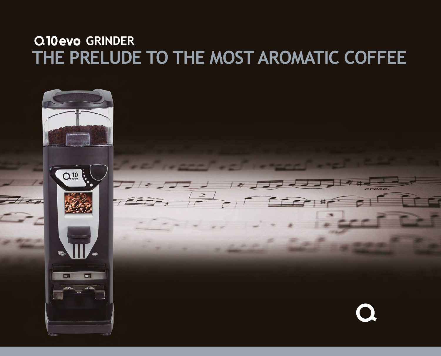### **THE PRELUDE TO THE MOST AROMATIC COFFEE GRINDER**

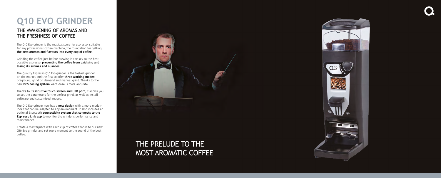# **Q10 EVO GRINDER**

The Q10 Evo grinder is the musical score for espresso, suitable for any professional coffee machine, the foundation for getting **the best aromas and flavours into every cup of coffee.**

Grinding the coffee just before brewing is the key to the best possible espresso, **preventing the coffee from oxidising and losing its aromas and nuances.**

The Quality Espresso Q10 Evo grinder is the fastest grinder on the market and the first to offer **three working modes:** preground, grind on demand and manual grind. Thanks to the new **DCS dosing system**, each dose is more accurate.

Thanks to its **intuitive touch screen and USB port,** it allows you to set the parameters for the perfect grind, as well as install software and customised images.

The Q10 Evo grinder now has a **new design** with a more modern look that can be adapted to any environment. It also includes an optional Bluetooth **connectivity system that connects to the Espresso Link app** to monitor the grinder's performance and maintenance.

Create a masterpiece with each cup of coffee thanks to our new Q10 Evo grinder and set every moment to the sound of the best coffee.



### THE AWAKENING OF AROMAS AND THE FRESHNESS OF COFFEE

## THE PRELUDE TO THE MOST AROMATIC COFFEE

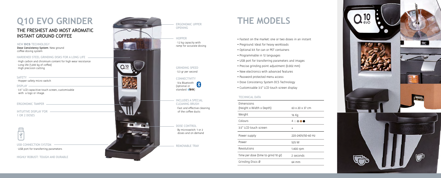# **Q10 EVO GRINDER**

### THE FRESHEST AND MOST AROMATIC INSTANT GROUND COFFEE

### NEW **DCS** TECHNOLOGY

INTUITIVE DISPLAY FOR 1 OR 2 DOSES



#### DISPLAY

### HARDENED STEEL GRINDING DISKS FOR A LONG LIFE

· Hopper safety micro switch

Dose Consistency System. New ground coffee dosing system

· 3.5" LCD capacitive touch screen, customisable with a logo or image.

ERGONOMIC TAMPER -

· High carbon and chromium content for high wear resistance · Long life (1,200 kg of coffee) · High precision cutting

#### SAFFTY -

## **THE MODELS**

- Fastest on the market: one or two doses in an instant
	-
	-
	-
	-
	-



- 
- Preground: Ideal for heavy workloads
- Optional kit for can or PET containers
- Programmable in 12 languages
- USB port for transferring parameters and images
- Precise grinding point adjustment (0.002 mm)
- New electronics with advanced features
- Password protected menu access
- Dose Consistency System DCS Technology
- Customisable 3.5" LCD touch screen display

### TECHNICAL DATA

Dimensions (Height  $x$  Width  $x$  Depth Weight Colours

3.5" LCD touch screen

Power supply

Power

Revolutions

Time per dose (time to

Grinding Discs Ø

| th)          | 63 x 20 x 37 cm   |
|--------------|-------------------|
|              | 16 Kg             |
|              | 4000<br>●         |
|              |                   |
|              | 220-240V/50-60 Hz |
|              | 525 W             |
|              | 1.400 rpm         |
| grind 10 gr) | 2 seconds         |
|              | 64 mm             |



USB CONNECTION SYSTEM

HIGHLY ROBUST: TOUGH AND DURABLE

· USB port for transferring parameters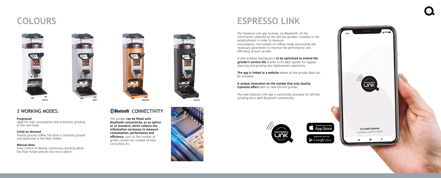## **ESPRESSO LINK**

The Espresso Link app receives, via Bluetooth, all the information collected by the Q10 Evo grinders installed in the establishment in order to measure consumption, the number of coffees made and provide the necessary parameters to improve the performance and efficiency of each grinder.

**A unique innovation on the market that only Quality Espresso offers** with its new Q10 Evo grinder.

It also enables maintenance **to be optimised to extend the grinder's service life** thanks to its alert system for regular cleaning and grinding disc replacement operations.

**The app is linked to a website** where all the grinder data can







be analysed.

The new Espresso Link app is exclusively available for Q10 Evo grinding discs with Bluetooth connectivity.

# **COLOURS**



3 WORKING MODES:

The grinder **can be fitted with Bluetooth connectivity, as an option or as standard, which collects the information necessary to measure consumption, performance and efficiency**, such as the number of grinds carried out, number of kilos consumed, etc.





#### **Preground**

Ideal for high consumption and automatic grinding of the next dose.

#### **Grind on demand**

Freshly ground coffee. The dose is instantly ground and deposited in the filter holder.

#### **Manual dose**

Total control of dosing. Continuous grinding while the filter holder presses the micro switch.

### **Bluetooth CONNECTIVITY**